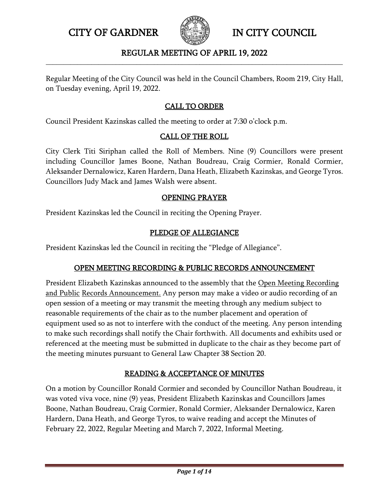

# REGULAR MEETING OF APRIL 19, 2022 **\_\_\_\_\_\_\_\_\_\_\_\_\_\_\_\_\_\_\_\_\_\_\_\_\_\_\_\_\_\_\_\_\_\_\_\_\_\_\_\_\_\_\_\_\_\_\_\_\_\_\_\_\_\_\_\_\_\_\_\_\_\_\_\_\_\_\_\_\_\_\_\_\_\_\_\_\_\_\_\_\_\_\_\_\_**

Regular Meeting of the City Council was held in the Council Chambers, Room 219, City Hall, on Tuesday evening, April 19, 2022.

# CALL TO ORDER

Council President Kazinskas called the meeting to order at 7:30 o'clock p.m.

# CALL OF THE ROLL

City Clerk Titi Siriphan called the Roll of Members. Nine (9) Councillors were present including Councillor James Boone, Nathan Boudreau, Craig Cormier, Ronald Cormier, Aleksander Dernalowicz, Karen Hardern, Dana Heath, Elizabeth Kazinskas, and George Tyros. Councillors Judy Mack and James Walsh were absent.

# OPENING PRAYER

President Kazinskas led the Council in reciting the Opening Prayer.

# PLEDGE OF ALLEGIANCE

President Kazinskas led the Council in reciting the "Pledge of Allegiance".

# OPEN MEETING RECORDING & PUBLIC RECORDS ANNOUNCEMENT

President Elizabeth Kazinskas announced to the assembly that the Open Meeting Recording and Public Records Announcement. Any person may make a video or audio recording of an open session of a meeting or may transmit the meeting through any medium subject to reasonable requirements of the chair as to the number placement and operation of equipment used so as not to interfere with the conduct of the meeting. Any person intending to make such recordings shall notify the Chair forthwith. All documents and exhibits used or referenced at the meeting must be submitted in duplicate to the chair as they become part of the meeting minutes pursuant to General Law Chapter 38 Section 20.

# READING & ACCEPTANCE OF MINUTES

On a motion by Councillor Ronald Cormier and seconded by Councillor Nathan Boudreau, it was voted viva voce, nine (9) yeas, President Elizabeth Kazinskas and Councillors James Boone, Nathan Boudreau, Craig Cormier, Ronald Cormier, Aleksander Dernalowicz, Karen Hardern, Dana Heath, and George Tyros, to waive reading and accept the Minutes of February 22, 2022, Regular Meeting and March 7, 2022, Informal Meeting.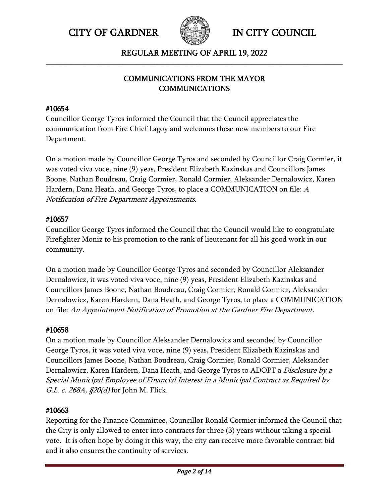

# REGULAR MEETING OF APRIL 19, 2022 **\_\_\_\_\_\_\_\_\_\_\_\_\_\_\_\_\_\_\_\_\_\_\_\_\_\_\_\_\_\_\_\_\_\_\_\_\_\_\_\_\_\_\_\_\_\_\_\_\_\_\_\_\_\_\_\_\_\_\_\_\_\_\_\_\_\_\_\_\_\_\_\_\_\_\_\_\_\_\_\_\_\_\_\_\_**

# COMMUNICATIONS FROM THE MAYOR COMMUNICATIONS

# #10654

Councillor George Tyros informed the Council that the Council appreciates the communication from Fire Chief Lagoy and welcomes these new members to our Fire Department.

On a motion made by Councillor George Tyros and seconded by Councillor Craig Cormier, it was voted viva voce, nine (9) yeas, President Elizabeth Kazinskas and Councillors James Boone, Nathan Boudreau, Craig Cormier, Ronald Cormier, Aleksander Dernalowicz, Karen Hardern, Dana Heath, and George Tyros, to place a COMMUNICATION on file: <sup>A</sup> Notification of Fire Department Appointments.

# #10657

Councillor George Tyros informed the Council that the Council would like to congratulate Firefighter Moniz to his promotion to the rank of lieutenant for all his good work in our community.

On a motion made by Councillor George Tyros and seconded by Councillor Aleksander Dernalowicz, it was voted viva voce, nine (9) yeas, President Elizabeth Kazinskas and Councillors James Boone, Nathan Boudreau, Craig Cormier, Ronald Cormier, Aleksander Dernalowicz, Karen Hardern, Dana Heath, and George Tyros, to place a COMMUNICATION on file: An Appointment Notification of Promotion at the Gardner Fire Department.

# #10658

On a motion made by Councillor Aleksander Dernalowicz and seconded by Councillor George Tyros, it was voted viva voce, nine (9) yeas, President Elizabeth Kazinskas and Councillors James Boone, Nathan Boudreau, Craig Cormier, Ronald Cormier, Aleksander Dernalowicz, Karen Hardern, Dana Heath, and George Tyros to ADOPT a *Disclosure by a* Special Municipal Employee of Financial Interest in a Municipal Contract as Required by *G.L. c. 268A, §20(d)* for John M. Flick.

# #10663

Reporting for the Finance Committee, Councillor Ronald Cormier informed the Council that the City is only allowed to enter into contracts for three (3) years without taking a special vote. It is often hope by doing it this way, the city can receive more favorable contract bid and it also ensures the continuity of services.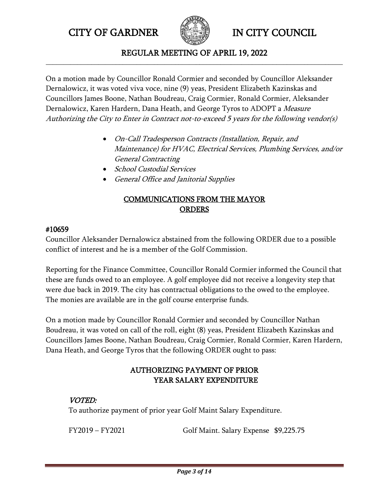

#### REGULAR MEETING OF APRIL 19, 2022 **\_\_\_\_\_\_\_\_\_\_\_\_\_\_\_\_\_\_\_\_\_\_\_\_\_\_\_\_\_\_\_\_\_\_\_\_\_\_\_\_\_\_\_\_\_\_\_\_\_\_\_\_\_\_\_\_\_\_\_\_\_\_\_\_\_\_\_\_\_\_\_\_\_\_\_\_\_\_\_\_\_\_\_\_\_**

On a motion made by Councillor Ronald Cormier and seconded by Councillor Aleksander Dernalowicz, it was voted viva voce, nine (9) yeas, President Elizabeth Kazinskas and Councillors James Boone, Nathan Boudreau, Craig Cormier, Ronald Cormier, Aleksander Dernalowicz, Karen Hardern, Dana Heath, and George Tyros to ADOPT a Measure Authorizing the City to Enter in Contract not-to-exceed 5 years for the following vendor(s)

- On-Call Tradesperson Contracts (Installation, Repair, and Maintenance) for HVAC, Electrical Services, Plumbing Services, and/or General Contracting
- School Custodial Services
- General Office and Janitorial Supplies

# COMMUNICATIONS FROM THE MAYOR **ORDERS**

# #10659

Councillor Aleksander Dernalowicz abstained from the following ORDER due to a possible conflict of interest and he is a member of the Golf Commission.

Reporting for the Finance Committee, Councillor Ronald Cormier informed the Council that these are funds owed to an employee. A golf employee did not receive a longevity step that were due back in 2019. The city has contractual obligations to the owed to the employee. The monies are available are in the golf course enterprise funds.

On a motion made by Councillor Ronald Cormier and seconded by Councillor Nathan Boudreau, it was voted on call of the roll, eight (8) yeas, President Elizabeth Kazinskas and Councillors James Boone, Nathan Boudreau, Craig Cormier, Ronald Cormier, Karen Hardern, Dana Heath, and George Tyros that the following ORDER ought to pass:

# AUTHORIZING PAYMENT OF PRIOR YEAR SALARY EXPENDITURE

# VOTED:

To authorize payment of prior year Golf Maint Salary Expenditure.

FY2019 – FY2021 Golf Maint. Salary Expense \$9,225.75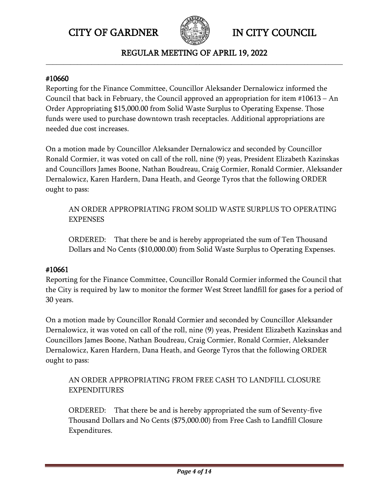

REGULAR MEETING OF APRIL 19, 2022 **\_\_\_\_\_\_\_\_\_\_\_\_\_\_\_\_\_\_\_\_\_\_\_\_\_\_\_\_\_\_\_\_\_\_\_\_\_\_\_\_\_\_\_\_\_\_\_\_\_\_\_\_\_\_\_\_\_\_\_\_\_\_\_\_\_\_\_\_\_\_\_\_\_\_\_\_\_\_\_\_\_\_\_\_\_**

#### #10660

Reporting for the Finance Committee, Councillor Aleksander Dernalowicz informed the Council that back in February, the Council approved an appropriation for item  $\#10613 - An$ Order Appropriating \$15,000.00 from Solid Waste Surplus to Operating Expense. Those funds were used to purchase downtown trash receptacles. Additional appropriations are needed due cost increases.

On a motion made by Councillor Aleksander Dernalowicz and seconded by Councillor Ronald Cormier, it was voted on call of the roll, nine (9) yeas, President Elizabeth Kazinskas and Councillors James Boone, Nathan Boudreau, Craig Cormier, Ronald Cormier, Aleksander Dernalowicz, Karen Hardern, Dana Heath, and George Tyros that the following ORDER ought to pass:

AN ORDER APPROPRIATING FROM SOLID WASTE SURPLUS TO OPERATING EXPENSES

ORDERED: That there be and is hereby appropriated the sum of Ten Thousand Dollars and No Cents (\$10,000.00) from Solid Waste Surplus to Operating Expenses.

# #10661

Reporting for the Finance Committee, Councillor Ronald Cormier informed the Council that the City is required by law to monitor the former West Street landfill for gases for a period of 30 years.

On a motion made by Councillor Ronald Cormier and seconded by Councillor Aleksander Dernalowicz, it was voted on call of the roll, nine (9) yeas, President Elizabeth Kazinskas and Councillors James Boone, Nathan Boudreau, Craig Cormier, Ronald Cormier, Aleksander Dernalowicz, Karen Hardern, Dana Heath, and George Tyros that the following ORDER ought to pass:

AN ORDER APPROPRIATING FROM FREE CASH TO LANDFILL CLOSURE EXPENDITURES

ORDERED: That there be and is hereby appropriated the sum of Seventy-five Thousand Dollars and No Cents (\$75,000.00) from Free Cash to Landfill Closure Expenditures.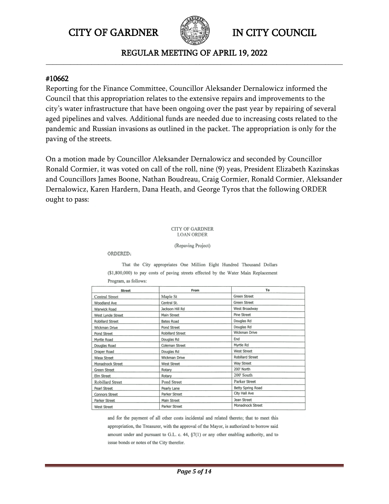

REGULAR MEETING OF APRIL 19, 2022 **\_\_\_\_\_\_\_\_\_\_\_\_\_\_\_\_\_\_\_\_\_\_\_\_\_\_\_\_\_\_\_\_\_\_\_\_\_\_\_\_\_\_\_\_\_\_\_\_\_\_\_\_\_\_\_\_\_\_\_\_\_\_\_\_\_\_\_\_\_\_\_\_\_\_\_\_\_\_\_\_\_\_\_\_\_**

#### #10662

Reporting for the Finance Committee, Councillor Aleksander Dernalowicz informed the Council that this appropriation relates to the extensive repairs and improvements to the city's water infrastructure that have been ongoing over the past year by repairing of several aged pipelines and valves. Additional funds are needed due to increasing costs related to the pandemic and Russian invasions as outlined in the packet. The appropriation is only for the paving of the streets.

On a motion made by Councillor Aleksander Dernalowicz and seconded by Councillor Ronald Cormier, it was voted on call of the roll, nine (9) yeas, President Elizabeth Kazinskas and Councillors James Boone, Nathan Boudreau, Craig Cormier, Ronald Cormier, Aleksander Dernalowicz, Karen Hardern, Dana Heath, and George Tyros that the following ORDER ought to pass:

#### **CITY OF GARDNER LOAN ORDER**

(Repaving Project)

ORDERED:

That the City appropriates One Million Eight Hundred Thousand Dollars (\$1,800,000) to pay costs of paving streets effected by the Water Main Replacement Program, as follows:

| <b>Street</b>           | From               | To                  |
|-------------------------|--------------------|---------------------|
| Central Street          | Maple St           | <b>Green Street</b> |
| Woodland Ave            | Central St.        | <b>Green Street</b> |
| Warwick Road            | Jackson Hill Rd    | West Broadway       |
| West Lynde Street       | Main Street        | Pine Street         |
| <b>Robillard Street</b> | <b>Bates Road</b>  | Douglas Rd          |
| Wickman Drive           | Pond Street        | Douglas Rd          |
| Pond Street             | Robillard Street   | Wickman Drive       |
| Myrtle Road             | Douglas Rd         | End                 |
| Douglas Road            | Coleman Street     | Myrtle Rd           |
| Draper Road             | Douglas Rd         | <b>West Street</b>  |
| Wasa Street             | Wickman Drive      | Robillard Street    |
| Monadnock Street        | <b>West Street</b> | Way Street          |
| <b>Green Street</b>     | Rotary             | 200' North          |
| Elm Street              | Rotary             | 200' South          |
| Robillard Street        | Pond Street        | Parker Street       |
| Pearl Street            | Pearly Lane        | Betty Spring Road   |
| <b>Connors Street</b>   | Parker Street      | City Hall Ave       |
| Parker Street           | Main Street        | Jean Street         |
| <b>West Street</b>      | Parker Street      | Monadnock Street    |

and for the payment of all other costs incidental and related thereto; that to meet this appropriation, the Treasurer, with the approval of the Mayor, is authorized to borrow said amount under and pursuant to G.L. c. 44, §7(1) or any other enabling authority, and to issue bonds or notes of the City therefor.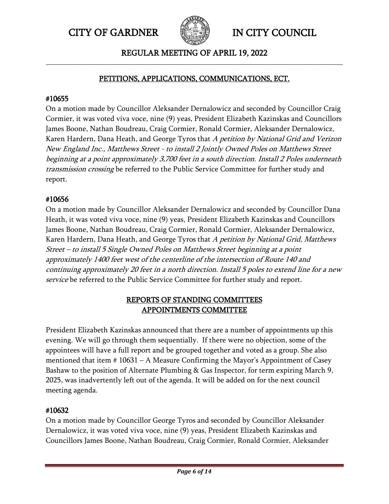

#### REGULAR MEETING OF APRIL 19, 2022 **\_\_\_\_\_\_\_\_\_\_\_\_\_\_\_\_\_\_\_\_\_\_\_\_\_\_\_\_\_\_\_\_\_\_\_\_\_\_\_\_\_\_\_\_\_\_\_\_\_\_\_\_\_\_\_\_\_\_\_\_\_\_\_\_\_\_\_\_\_\_\_\_\_\_\_\_\_\_\_\_\_\_\_\_\_**

# PETITIONS, APPLICATIONS, COMMUNICATIONS, ECT.

# #10655

On a motion made by Councillor Aleksander Dernalowicz and seconded by Councillor Craig Cormier, it was voted viva voce, nine (9) yeas, President Elizabeth Kazinskas and Councillors James Boone, Nathan Boudreau, Craig Cormier, Ronald Cormier, Aleksander Dernalowicz, Karen Hardern, Dana Heath, and George Tyros that A petition by National Grid and Verizon New England Inc., Matthews Street - to install 2 Jointly Owned Poles on Matthews Street beginning at a point approximately 3,700 feet in a south direction. Install 2 Poles underneath transmission crossing be referred to the Public Service Committee for further study and report.

# #10656

On a motion made by Councillor Aleksander Dernalowicz and seconded by Councillor Dana Heath, it was voted viva voce, nine (9) yeas, President Elizabeth Kazinskas and Councillors James Boone, Nathan Boudreau, Craig Cormier, Ronald Cormier, Aleksander Dernalowicz, Karen Hardern, Dana Heath, and George Tyros that A petition by National Grid, Matthews Street – to install 5 Single Owned Poles on Matthews Street beginning at a point approximately 1400 feet west of the centerline of the intersection of Route 140 and continuing approximately 20 feet in a north direction. Install 5 poles to extend line for a new service be referred to the Public Service Committee for further study and report.

# REPORTS OF STANDING COMMITTEES APPOINTMENTS COMMITTEE

President Elizabeth Kazinskas announced that there are a number of appointments up this evening. We will go through them sequentially. If there were no objection, some of the appointees will have a full report and be grouped together and voted as a group. She also mentioned that item # 10631 – A Measure Confirming the Mayor's Appointment of Casey Bashaw to the position of Alternate Plumbing & Gas Inspector, for term expiring March 9, 2025, was inadvertently left out of the agenda. It will be added on for the next council meeting agenda.

# #10632

On a motion made by Councillor George Tyros and seconded by Councillor Aleksander Dernalowicz, it was voted viva voce, nine (9) yeas, President Elizabeth Kazinskas and Councillors James Boone, Nathan Boudreau, Craig Cormier, Ronald Cormier, Aleksander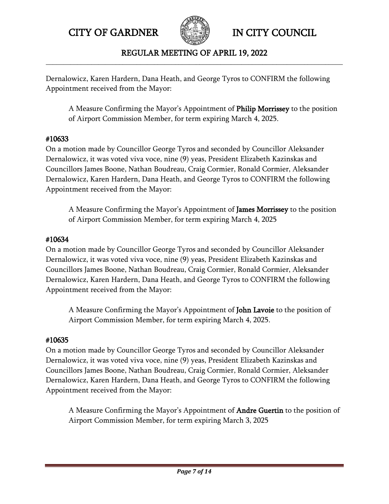

# REGULAR MEETING OF APRIL 19, 2022 **\_\_\_\_\_\_\_\_\_\_\_\_\_\_\_\_\_\_\_\_\_\_\_\_\_\_\_\_\_\_\_\_\_\_\_\_\_\_\_\_\_\_\_\_\_\_\_\_\_\_\_\_\_\_\_\_\_\_\_\_\_\_\_\_\_\_\_\_\_\_\_\_\_\_\_\_\_\_\_\_\_\_\_\_\_**

Dernalowicz, Karen Hardern, Dana Heath, and George Tyros to CONFIRM the following Appointment received from the Mayor:

A Measure Confirming the Mayor's Appointment of Philip Morrissey to the position of Airport Commission Member, for term expiring March 4, 2025.

# #10633

On a motion made by Councillor George Tyros and seconded by Councillor Aleksander Dernalowicz, it was voted viva voce, nine (9) yeas, President Elizabeth Kazinskas and Councillors James Boone, Nathan Boudreau, Craig Cormier, Ronald Cormier, Aleksander Dernalowicz, Karen Hardern, Dana Heath, and George Tyros to CONFIRM the following Appointment received from the Mayor:

A Measure Confirming the Mayor's Appointment of James Morrissey to the position of Airport Commission Member, for term expiring March 4, 2025

# #10634

On a motion made by Councillor George Tyros and seconded by Councillor Aleksander Dernalowicz, it was voted viva voce, nine (9) yeas, President Elizabeth Kazinskas and Councillors James Boone, Nathan Boudreau, Craig Cormier, Ronald Cormier, Aleksander Dernalowicz, Karen Hardern, Dana Heath, and George Tyros to CONFIRM the following Appointment received from the Mayor:

A Measure Confirming the Mayor's Appointment of John Lavoie to the position of Airport Commission Member, for term expiring March 4, 2025.

# #10635

On a motion made by Councillor George Tyros and seconded by Councillor Aleksander Dernalowicz, it was voted viva voce, nine (9) yeas, President Elizabeth Kazinskas and Councillors James Boone, Nathan Boudreau, Craig Cormier, Ronald Cormier, Aleksander Dernalowicz, Karen Hardern, Dana Heath, and George Tyros to CONFIRM the following Appointment received from the Mayor:

A Measure Confirming the Mayor's Appointment of **Andre Guertin** to the position of Airport Commission Member, for term expiring March 3, 2025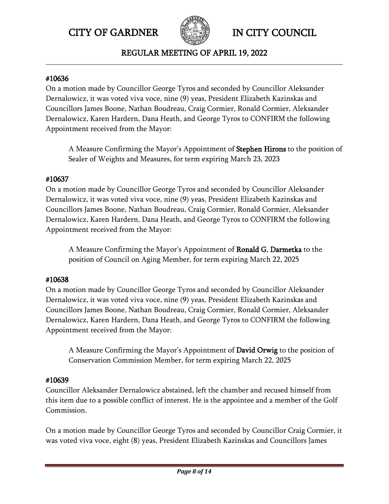

REGULAR MEETING OF APRIL 19, 2022 **\_\_\_\_\_\_\_\_\_\_\_\_\_\_\_\_\_\_\_\_\_\_\_\_\_\_\_\_\_\_\_\_\_\_\_\_\_\_\_\_\_\_\_\_\_\_\_\_\_\_\_\_\_\_\_\_\_\_\_\_\_\_\_\_\_\_\_\_\_\_\_\_\_\_\_\_\_\_\_\_\_\_\_\_\_**

#### #10636

On a motion made by Councillor George Tyros and seconded by Councillor Aleksander Dernalowicz, it was voted viva voce, nine (9) yeas, President Elizabeth Kazinskas and Councillors James Boone, Nathan Boudreau, Craig Cormier, Ronald Cormier, Aleksander Dernalowicz, Karen Hardern, Dana Heath, and George Tyros to CONFIRM the following Appointment received from the Mayor:

A Measure Confirming the Mayor's Appointment of Stephen Hirons to the position of Sealer of Weights and Measures, for term expiring March 23, 2023

# #10637

On a motion made by Councillor George Tyros and seconded by Councillor Aleksander Dernalowicz, it was voted viva voce, nine (9) yeas, President Elizabeth Kazinskas and Councillors James Boone, Nathan Boudreau, Craig Cormier, Ronald Cormier, Aleksander Dernalowicz, Karen Hardern, Dana Heath, and George Tyros to CONFIRM the following Appointment received from the Mayor:

A Measure Confirming the Mayor's Appointment of Ronald G. Darmetka to the position of Council on Aging Member, for term expiring March 22, 2025

# #10638

On a motion made by Councillor George Tyros and seconded by Councillor Aleksander Dernalowicz, it was voted viva voce, nine (9) yeas, President Elizabeth Kazinskas and Councillors James Boone, Nathan Boudreau, Craig Cormier, Ronald Cormier, Aleksander Dernalowicz, Karen Hardern, Dana Heath, and George Tyros to CONFIRM the following Appointment received from the Mayor:

A Measure Confirming the Mayor's Appointment of David Orwig to the position of Conservation Commission Member, for term expiring March 22, 2025

# #10639

Councillor Aleksander Dernalowicz abstained, left the chamber and recused himself from this item due to a possible conflict of interest. He is the appointee and a member of the Golf Commission.

On a motion made by Councillor George Tyros and seconded by Councillor Craig Cormier, it was voted viva voce, eight (8) yeas, President Elizabeth Kazinskas and Councillors James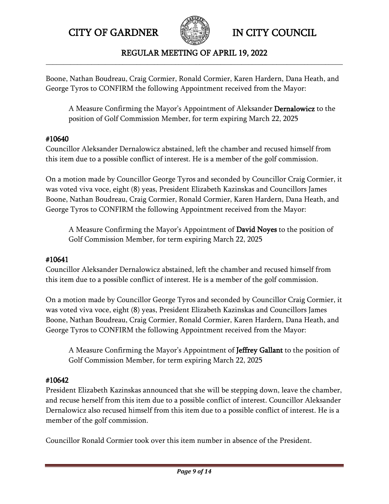

#### REGULAR MEETING OF APRIL 19, 2022 **\_\_\_\_\_\_\_\_\_\_\_\_\_\_\_\_\_\_\_\_\_\_\_\_\_\_\_\_\_\_\_\_\_\_\_\_\_\_\_\_\_\_\_\_\_\_\_\_\_\_\_\_\_\_\_\_\_\_\_\_\_\_\_\_\_\_\_\_\_\_\_\_\_\_\_\_\_\_\_\_\_\_\_\_\_**

Boone, Nathan Boudreau, Craig Cormier, Ronald Cormier, Karen Hardern, Dana Heath, and George Tyros to CONFIRM the following Appointment received from the Mayor:

A Measure Confirming the Mayor's Appointment of Aleksander Dernalowicz to the position of Golf Commission Member, for term expiring March 22, 2025

# #10640

Councillor Aleksander Dernalowicz abstained, left the chamber and recused himself from this item due to a possible conflict of interest. He is a member of the golf commission.

On a motion made by Councillor George Tyros and seconded by Councillor Craig Cormier, it was voted viva voce, eight (8) yeas, President Elizabeth Kazinskas and Councillors James Boone, Nathan Boudreau, Craig Cormier, Ronald Cormier, Karen Hardern, Dana Heath, and George Tyros to CONFIRM the following Appointment received from the Mayor:

A Measure Confirming the Mayor's Appointment of David Noyes to the position of Golf Commission Member, for term expiring March 22, 2025

# #10641

Councillor Aleksander Dernalowicz abstained, left the chamber and recused himself from this item due to a possible conflict of interest. He is a member of the golf commission.

On a motion made by Councillor George Tyros and seconded by Councillor Craig Cormier, it was voted viva voce, eight (8) yeas, President Elizabeth Kazinskas and Councillors James Boone, Nathan Boudreau, Craig Cormier, Ronald Cormier, Karen Hardern, Dana Heath, and George Tyros to CONFIRM the following Appointment received from the Mayor:

A Measure Confirming the Mayor's Appointment of Jeffrey Gallant to the position of Golf Commission Member, for term expiring March 22, 2025

# #10642

President Elizabeth Kazinskas announced that she will be stepping down, leave the chamber, and recuse herself from this item due to a possible conflict of interest. Councillor Aleksander Dernalowicz also recused himself from this item due to a possible conflict of interest. He is a member of the golf commission.

Councillor Ronald Cormier took over this item number in absence of the President.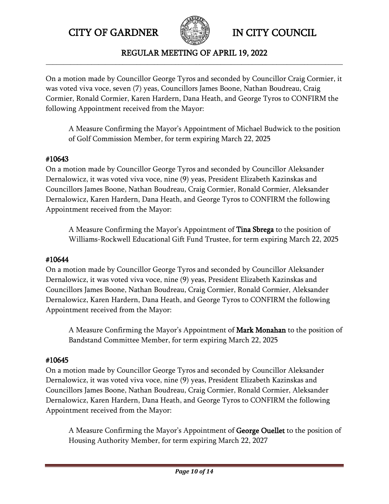

#### REGULAR MEETING OF APRIL 19, 2022 **\_\_\_\_\_\_\_\_\_\_\_\_\_\_\_\_\_\_\_\_\_\_\_\_\_\_\_\_\_\_\_\_\_\_\_\_\_\_\_\_\_\_\_\_\_\_\_\_\_\_\_\_\_\_\_\_\_\_\_\_\_\_\_\_\_\_\_\_\_\_\_\_\_\_\_\_\_\_\_\_\_\_\_\_\_**

On a motion made by Councillor George Tyros and seconded by Councillor Craig Cormier, it was voted viva voce, seven (7) yeas, Councillors James Boone, Nathan Boudreau, Craig Cormier, Ronald Cormier, Karen Hardern, Dana Heath, and George Tyros to CONFIRM the following Appointment received from the Mayor:

A Measure Confirming the Mayor's Appointment of Michael Budwick to the position of Golf Commission Member, for term expiring March 22, 2025

# #10643

On a motion made by Councillor George Tyros and seconded by Councillor Aleksander Dernalowicz, it was voted viva voce, nine (9) yeas, President Elizabeth Kazinskas and Councillors James Boone, Nathan Boudreau, Craig Cormier, Ronald Cormier, Aleksander Dernalowicz, Karen Hardern, Dana Heath, and George Tyros to CONFIRM the following Appointment received from the Mayor:

A Measure Confirming the Mayor's Appointment of Tina Sbrega to the position of Williams-Rockwell Educational Gift Fund Trustee, for term expiring March 22, 2025

# #10644

On a motion made by Councillor George Tyros and seconded by Councillor Aleksander Dernalowicz, it was voted viva voce, nine (9) yeas, President Elizabeth Kazinskas and Councillors James Boone, Nathan Boudreau, Craig Cormier, Ronald Cormier, Aleksander Dernalowicz, Karen Hardern, Dana Heath, and George Tyros to CONFIRM the following Appointment received from the Mayor:

A Measure Confirming the Mayor's Appointment of Mark Monahan to the position of Bandstand Committee Member, for term expiring March 22, 2025

# #10645

On a motion made by Councillor George Tyros and seconded by Councillor Aleksander Dernalowicz, it was voted viva voce, nine (9) yeas, President Elizabeth Kazinskas and Councillors James Boone, Nathan Boudreau, Craig Cormier, Ronald Cormier, Aleksander Dernalowicz, Karen Hardern, Dana Heath, and George Tyros to CONFIRM the following Appointment received from the Mayor:

A Measure Confirming the Mayor's Appointment of George Ouellet to the position of Housing Authority Member, for term expiring March 22, 2027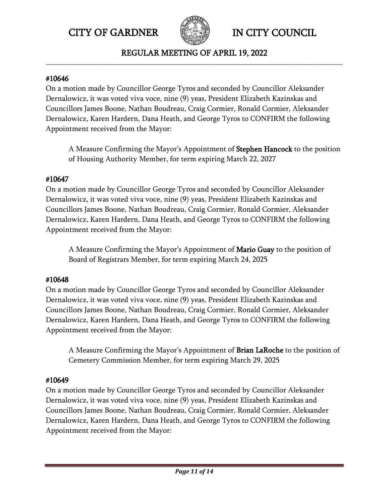

REGULAR MEETING OF APRIL 19, 2022 **\_\_\_\_\_\_\_\_\_\_\_\_\_\_\_\_\_\_\_\_\_\_\_\_\_\_\_\_\_\_\_\_\_\_\_\_\_\_\_\_\_\_\_\_\_\_\_\_\_\_\_\_\_\_\_\_\_\_\_\_\_\_\_\_\_\_\_\_\_\_\_\_\_\_\_\_\_\_\_\_\_\_\_\_\_**

#### #10646

On a motion made by Councillor George Tyros and seconded by Councillor Aleksander Dernalowicz, it was voted viva voce, nine (9) yeas, President Elizabeth Kazinskas and Councillors James Boone, Nathan Boudreau, Craig Cormier, Ronald Cormier, Aleksander Dernalowicz, Karen Hardern, Dana Heath, and George Tyros to CONFIRM the following Appointment received from the Mayor:

A Measure Confirming the Mayor's Appointment of Stephen Hancock to the position of Housing Authority Member, for term expiring March 22, 2027

# #10647

On a motion made by Councillor George Tyros and seconded by Councillor Aleksander Dernalowicz, it was voted viva voce, nine (9) yeas, President Elizabeth Kazinskas and Councillors James Boone, Nathan Boudreau, Craig Cormier, Ronald Cormier, Aleksander Dernalowicz, Karen Hardern, Dana Heath, and George Tyros to CONFIRM the following Appointment received from the Mayor:

A Measure Confirming the Mayor's Appointment of Mario Guay to the position of Board of Registrars Member, for term expiring March 24, 2025

# #10648

On a motion made by Councillor George Tyros and seconded by Councillor Aleksander Dernalowicz, it was voted viva voce, nine (9) yeas, President Elizabeth Kazinskas and Councillors James Boone, Nathan Boudreau, Craig Cormier, Ronald Cormier, Aleksander Dernalowicz, Karen Hardern, Dana Heath, and George Tyros to CONFIRM the following Appointment received from the Mayor:

A Measure Confirming the Mayor's Appointment of Brian LaRoche to the position of Cemetery Commission Member, for term expiring March 29, 2025

# #10649

On a motion made by Councillor George Tyros and seconded by Councillor Aleksander Dernalowicz, it was voted viva voce, nine (9) yeas, President Elizabeth Kazinskas and Councillors James Boone, Nathan Boudreau, Craig Cormier, Ronald Cormier, Aleksander Dernalowicz, Karen Hardern, Dana Heath, and George Tyros to CONFIRM the following Appointment received from the Mayor: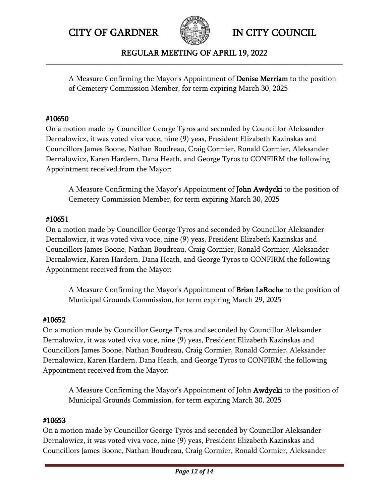

#### REGULAR MEETING OF APRIL 19, 2022 **\_\_\_\_\_\_\_\_\_\_\_\_\_\_\_\_\_\_\_\_\_\_\_\_\_\_\_\_\_\_\_\_\_\_\_\_\_\_\_\_\_\_\_\_\_\_\_\_\_\_\_\_\_\_\_\_\_\_\_\_\_\_\_\_\_\_\_\_\_\_\_\_\_\_\_\_\_\_\_\_\_\_\_\_\_**

A Measure Confirming the Mayor's Appointment of Denise Merriam to the position of Cemetery Commission Member, for term expiring March 30, 2025

# #10650

On a motion made by Councillor George Tyros and seconded by Councillor Aleksander Dernalowicz, it was voted viva voce, nine (9) yeas, President Elizabeth Kazinskas and Councillors James Boone, Nathan Boudreau, Craig Cormier, Ronald Cormier, Aleksander Dernalowicz, Karen Hardern, Dana Heath, and George Tyros to CONFIRM the following Appointment received from the Mayor:

A Measure Confirming the Mayor's Appointment of John Awdycki to the position of Cemetery Commission Member, for term expiring March 30, 2025

# #10651

On a motion made by Councillor George Tyros and seconded by Councillor Aleksander Dernalowicz, it was voted viva voce, nine (9) yeas, President Elizabeth Kazinskas and Councillors James Boone, Nathan Boudreau, Craig Cormier, Ronald Cormier, Aleksander Dernalowicz, Karen Hardern, Dana Heath, and George Tyros to CONFIRM the following Appointment received from the Mayor:

A Measure Confirming the Mayor's Appointment of Brian LaRoche to the position of Municipal Grounds Commission, for term expiring March 29, 2025

# #10652

On a motion made by Councillor George Tyros and seconded by Councillor Aleksander Dernalowicz, it was voted viva voce, nine (9) yeas, President Elizabeth Kazinskas and Councillors James Boone, Nathan Boudreau, Craig Cormier, Ronald Cormier, Aleksander Dernalowicz, Karen Hardern, Dana Heath, and George Tyros to CONFIRM the following Appointment received from the Mayor:

A Measure Confirming the Mayor's Appointment of John Awdycki to the position of Municipal Grounds Commission, for term expiring March 30, 2025

# #10653

On a motion made by Councillor George Tyros and seconded by Councillor Aleksander Dernalowicz, it was voted viva voce, nine (9) yeas, President Elizabeth Kazinskas and Councillors James Boone, Nathan Boudreau, Craig Cormier, Ronald Cormier, Aleksander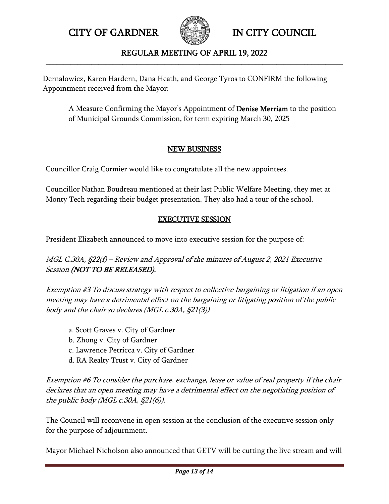

# REGULAR MEETING OF APRIL 19, 2022 **\_\_\_\_\_\_\_\_\_\_\_\_\_\_\_\_\_\_\_\_\_\_\_\_\_\_\_\_\_\_\_\_\_\_\_\_\_\_\_\_\_\_\_\_\_\_\_\_\_\_\_\_\_\_\_\_\_\_\_\_\_\_\_\_\_\_\_\_\_\_\_\_\_\_\_\_\_\_\_\_\_\_\_\_\_**

Dernalowicz, Karen Hardern, Dana Heath, and George Tyros to CONFIRM the following Appointment received from the Mayor:

A Measure Confirming the Mayor's Appointment of Denise Merriam to the position of Municipal Grounds Commission, for term expiring March 30, 2025

# NEW BUSINESS

Councillor Craig Cormier would like to congratulate all the new appointees.

Councillor Nathan Boudreau mentioned at their last Public Welfare Meeting, they met at Monty Tech regarding their budget presentation. They also had a tour of the school.

# EXECUTIVE SESSION

President Elizabeth announced to move into executive session for the purpose of:

MGL C.30A, §22(f) – Review and Approval of the minutes of August 2, 2021 Executive Session (NOT TO BE RELEASED).

Exemption #3 To discuss strategy with respect to collective bargaining or litigation if an open meeting may have a detrimental effect on the bargaining or litigating position of the public body and the chair so declares (MGL c.30A, §21(3))

- a. Scott Graves v. City of Gardner
- b. Zhong v. City of Gardner
- c. Lawrence Petricca v. City of Gardner
- d. RA Realty Trust v. City of Gardner

Exemption #6 To consider the purchase, exchange, lease or value of real property if the chair declares that an open meeting may have a detrimental effect on the negotiating position of the public body (MGL c.30A,  $\S21(6)$ ).

The Council will reconvene in open session at the conclusion of the executive session only for the purpose of adjournment.

Mayor Michael Nicholson also announced that GETV will be cutting the live stream and will